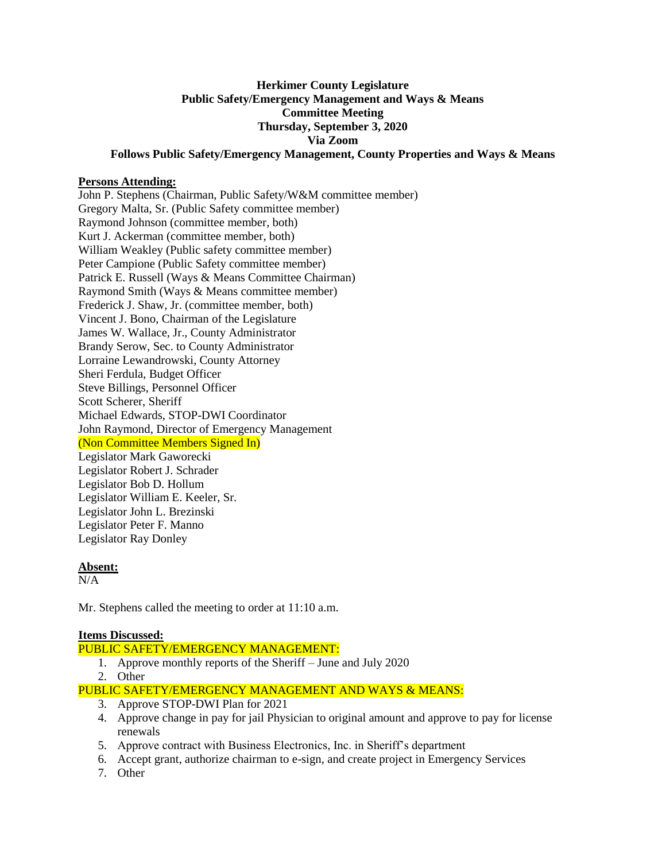# **Herkimer County Legislature Public Safety/Emergency Management and Ways & Means Committee Meeting Thursday, September 3, 2020 Via Zoom Follows Public Safety/Emergency Management, County Properties and Ways & Means**

# **Persons Attending:**

John P. Stephens (Chairman, Public Safety/W&M committee member) Gregory Malta, Sr. (Public Safety committee member) Raymond Johnson (committee member, both) Kurt J. Ackerman (committee member, both) William Weakley (Public safety committee member) Peter Campione (Public Safety committee member) Patrick E. Russell (Ways & Means Committee Chairman) Raymond Smith (Ways & Means committee member) Frederick J. Shaw, Jr. (committee member, both) Vincent J. Bono, Chairman of the Legislature James W. Wallace, Jr., County Administrator Brandy Serow, Sec. to County Administrator Lorraine Lewandrowski, County Attorney Sheri Ferdula, Budget Officer Steve Billings, Personnel Officer Scott Scherer, Sheriff Michael Edwards, STOP-DWI Coordinator John Raymond, Director of Emergency Management (Non Committee Members Signed In) Legislator Mark Gaworecki Legislator Robert J. Schrader Legislator Bob D. Hollum Legislator William E. Keeler, Sr. Legislator John L. Brezinski Legislator Peter F. Manno Legislator Ray Donley

#### **Absent:**

 $N/A$ 

Mr. Stephens called the meeting to order at 11:10 a.m.

# **Items Discussed:**

PUBLIC SAFETY/EMERGENCY MANAGEMENT:

- 1. Approve monthly reports of the Sheriff June and July 2020
- 2. Other
- PUBLIC SAFETY/EMERGENCY MANAGEMENT AND WAYS & MEANS:
	- 3. Approve STOP-DWI Plan for 2021
	- 4. Approve change in pay for jail Physician to original amount and approve to pay for license renewals
	- 5. Approve contract with Business Electronics, Inc. in Sheriff's department
	- 6. Accept grant, authorize chairman to e-sign, and create project in Emergency Services
	- 7. Other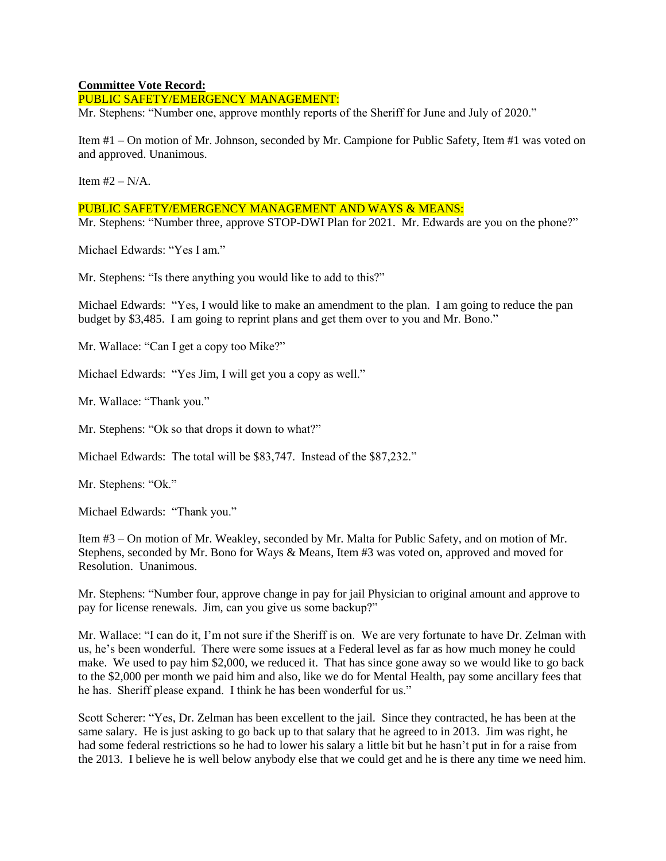#### **Committee Vote Record:**

PUBLIC SAFETY/EMERGENCY MANAGEMENT:

Mr. Stephens: "Number one, approve monthly reports of the Sheriff for June and July of 2020."

Item #1 – On motion of Mr. Johnson, seconded by Mr. Campione for Public Safety, Item #1 was voted on and approved. Unanimous.

Item  $#2 - N/A$ .

#### PUBLIC SAFETY/EMERGENCY MANAGEMENT AND WAYS & MEANS:

Mr. Stephens: "Number three, approve STOP-DWI Plan for 2021. Mr. Edwards are you on the phone?"

Michael Edwards: "Yes I am."

Mr. Stephens: "Is there anything you would like to add to this?"

Michael Edwards: "Yes, I would like to make an amendment to the plan. I am going to reduce the pan budget by \$3,485. I am going to reprint plans and get them over to you and Mr. Bono."

Mr. Wallace: "Can I get a copy too Mike?"

Michael Edwards: "Yes Jim, I will get you a copy as well."

Mr. Wallace: "Thank you."

Mr. Stephens: "Ok so that drops it down to what?"

Michael Edwards: The total will be \$83,747. Instead of the \$87,232."

Mr. Stephens: "Ok."

Michael Edwards: "Thank you."

Item #3 – On motion of Mr. Weakley, seconded by Mr. Malta for Public Safety, and on motion of Mr. Stephens, seconded by Mr. Bono for Ways & Means, Item #3 was voted on, approved and moved for Resolution. Unanimous.

Mr. Stephens: "Number four, approve change in pay for jail Physician to original amount and approve to pay for license renewals. Jim, can you give us some backup?"

Mr. Wallace: "I can do it, I'm not sure if the Sheriff is on. We are very fortunate to have Dr. Zelman with us, he's been wonderful. There were some issues at a Federal level as far as how much money he could make. We used to pay him \$2,000, we reduced it. That has since gone away so we would like to go back to the \$2,000 per month we paid him and also, like we do for Mental Health, pay some ancillary fees that he has. Sheriff please expand. I think he has been wonderful for us."

Scott Scherer: "Yes, Dr. Zelman has been excellent to the jail. Since they contracted, he has been at the same salary. He is just asking to go back up to that salary that he agreed to in 2013. Jim was right, he had some federal restrictions so he had to lower his salary a little bit but he hasn't put in for a raise from the 2013. I believe he is well below anybody else that we could get and he is there any time we need him.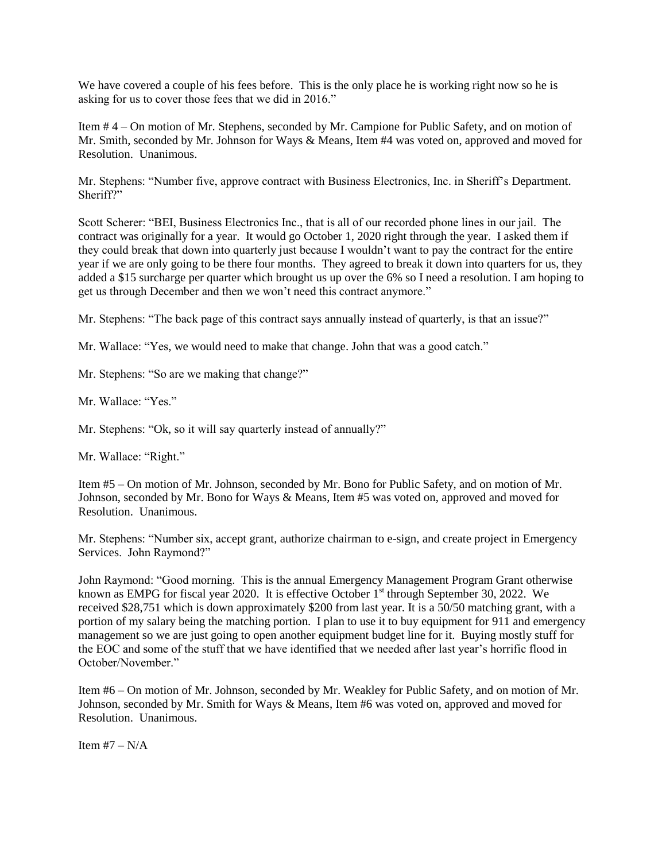We have covered a couple of his fees before. This is the only place he is working right now so he is asking for us to cover those fees that we did in 2016."

Item # 4 – On motion of Mr. Stephens, seconded by Mr. Campione for Public Safety, and on motion of Mr. Smith, seconded by Mr. Johnson for Ways & Means, Item #4 was voted on, approved and moved for Resolution. Unanimous.

Mr. Stephens: "Number five, approve contract with Business Electronics, Inc. in Sheriff's Department. Sheriff?"

Scott Scherer: "BEI, Business Electronics Inc., that is all of our recorded phone lines in our jail. The contract was originally for a year. It would go October 1, 2020 right through the year. I asked them if they could break that down into quarterly just because I wouldn't want to pay the contract for the entire year if we are only going to be there four months. They agreed to break it down into quarters for us, they added a \$15 surcharge per quarter which brought us up over the 6% so I need a resolution. I am hoping to get us through December and then we won't need this contract anymore."

Mr. Stephens: "The back page of this contract says annually instead of quarterly, is that an issue?"

Mr. Wallace: "Yes, we would need to make that change. John that was a good catch."

Mr. Stephens: "So are we making that change?"

Mr. Wallace: "Yes."

Mr. Stephens: "Ok, so it will say quarterly instead of annually?"

Mr. Wallace: "Right."

Item #5 – On motion of Mr. Johnson, seconded by Mr. Bono for Public Safety, and on motion of Mr. Johnson, seconded by Mr. Bono for Ways & Means, Item #5 was voted on, approved and moved for Resolution. Unanimous.

Mr. Stephens: "Number six, accept grant, authorize chairman to e-sign, and create project in Emergency Services. John Raymond?"

John Raymond: "Good morning. This is the annual Emergency Management Program Grant otherwise known as EMPG for fiscal year 2020. It is effective October  $1<sup>st</sup>$  through September 30, 2022. We received \$28,751 which is down approximately \$200 from last year. It is a 50/50 matching grant, with a portion of my salary being the matching portion. I plan to use it to buy equipment for 911 and emergency management so we are just going to open another equipment budget line for it. Buying mostly stuff for the EOC and some of the stuff that we have identified that we needed after last year's horrific flood in October/November."

Item #6 – On motion of Mr. Johnson, seconded by Mr. Weakley for Public Safety, and on motion of Mr. Johnson, seconded by Mr. Smith for Ways & Means, Item #6 was voted on, approved and moved for Resolution. Unanimous.

Item  $#7 - N/A$